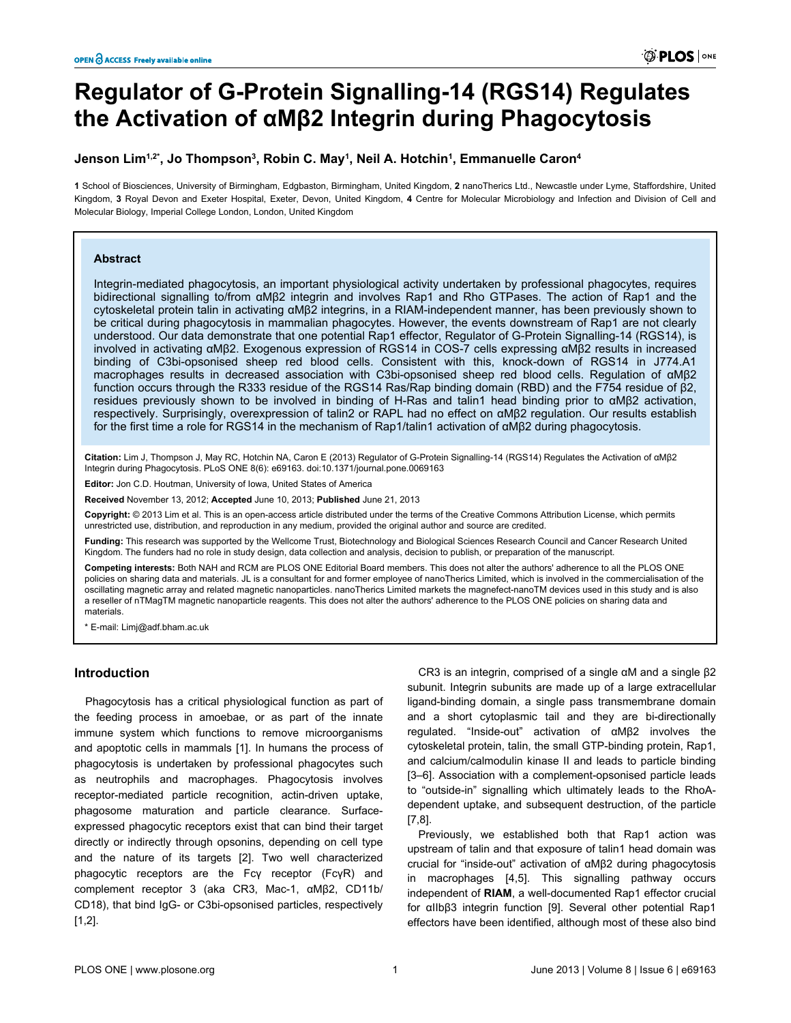# **Regulator of G-Protein Signalling-14 (RGS14) Regulates the Activation of αMβ2 Integrin during Phagocytosis**

## **Jenson Lim1,2\*, Jo Thompson<sup>3</sup> , Robin C. May<sup>1</sup> , Neil A. Hotchin<sup>1</sup> , Emmanuelle Caron<sup>4</sup>**

**1** School of Biosciences, University of Birmingham, Edgbaston, Birmingham, United Kingdom, **2** nanoTherics Ltd., Newcastle under Lyme, Staffordshire, United Kingdom, **3** Royal Devon and Exeter Hospital, Exeter, Devon, United Kingdom, **4** Centre for Molecular Microbiology and Infection and Division of Cell and Molecular Biology, Imperial College London, London, United Kingdom

#### **Abstract**

Integrin-mediated phagocytosis, an important physiological activity undertaken by professional phagocytes, requires bidirectional signalling to/from αMβ2 integrin and involves Rap1 and Rho GTPases. The action of Rap1 and the cytoskeletal protein talin in activating αMβ2 integrins, in a RIAM-independent manner, has been previously shown to be critical during phagocytosis in mammalian phagocytes. However, the events downstream of Rap1 are not clearly understood. Our data demonstrate that one potential Rap1 effector, Regulator of G-Protein Signalling-14 (RGS14), is involved in activating αMβ2. Exogenous expression of RGS14 in COS-7 cells expressing αMβ2 results in increased binding of C3bi-opsonised sheep red blood cells. Consistent with this, knock-down of RGS14 in J774.A1 macrophages results in decreased association with C3bi-opsonised sheep red blood cells. Regulation of αMβ2 function occurs through the R333 residue of the RGS14 Ras/Rap binding domain (RBD) and the F754 residue of β2, residues previously shown to be involved in binding of H-Ras and talin1 head binding prior to αMβ2 activation, respectively. Surprisingly, overexpression of talin2 or RAPL had no effect on αMβ2 regulation. Our results establish for the first time a role for RGS14 in the mechanism of Rap1/talin1 activation of αMβ2 during phagocytosis.

**Citation:** Lim J, Thompson J, May RC, Hotchin NA, Caron E (2013) Regulator of G-Protein Signalling-14 (RGS14) Regulates the Activation of αMβ2 Integrin during Phagocytosis. PLoS ONE 8(6): e69163. doi:10.1371/journal.pone.0069163

**Editor:** Jon C.D. Houtman, University of Iowa, United States of America

**Received** November 13, 2012; **Accepted** June 10, 2013; **Published** June 21, 2013

**Copyright:** © 2013 Lim et al. This is an open-access article distributed under the terms of the Creative Commons Attribution License, which permits unrestricted use, distribution, and reproduction in any medium, provided the original author and source are credited.

**Funding:** This research was supported by the Wellcome Trust, Biotechnology and Biological Sciences Research Council and Cancer Research United Kingdom. The funders had no role in study design, data collection and analysis, decision to publish, or preparation of the manuscript.

**Competing interests:** Both NAH and RCM are PLOS ONE Editorial Board members. This does not alter the authors' adherence to all the PLOS ONE policies on sharing data and materials. JL is a consultant for and former employee of nanoTherics Limited, which is involved in the commercialisation of the oscillating magnetic array and related magnetic nanoparticles. nanoTherics Limited markets the magnefect-nanoTM devices used in this study and is also a reseller of nTMagTM magnetic nanoparticle reagents. This does not alter the authors' adherence to the PLOS ONE policies on sharing data and materials.

\* E-mail: Limj@adf.bham.ac.uk

## **Introduction**

Phagocytosis has a critical physiological function as part of the feeding process in amoebae, or as part of the innate immune system which functions to remove microorganisms and apoptotic cells in mammals [\[1\]](#page-4-0). In humans the process of phagocytosis is undertaken by professional phagocytes such as neutrophils and macrophages. Phagocytosis involves receptor-mediated particle recognition, actin-driven uptake, phagosome maturation and particle clearance. Surfaceexpressed phagocytic receptors exist that can bind their target directly or indirectly through opsonins, depending on cell type and the nature of its targets [\[2](#page-4-0)]. Two well characterized phagocytic receptors are the Fcγ receptor (FcγR) and complement receptor 3 (aka CR3, Mac-1, αMβ2, CD11b/ CD18), that bind IgG- or C3bi-opsonised particles, respectively [[1,2\]](#page-4-0).

CR3 is an integrin, comprised of a single αM and a single β2 subunit. Integrin subunits are made up of a large extracellular ligand-binding domain, a single pass transmembrane domain and a short cytoplasmic tail and they are bi-directionally regulated. "Inside-out" activation of αMβ2 involves the cytoskeletal protein, talin, the small GTP-binding protein, Rap1, and calcium/calmodulin kinase II and leads to particle binding [[3–6](#page-4-0)]. Association with a complement-opsonised particle leads to "outside-in" signalling which ultimately leads to the RhoAdependent uptake, and subsequent destruction, of the particle [[7,8\]](#page-4-0).

Previously, we established both that Rap1 action was upstream of talin and that exposure of talin1 head domain was crucial for "inside-out" activation of αMβ2 during phagocytosis in macrophages [[4,5\]](#page-4-0). This signalling pathway occurs independent of **RIAM**, a well-documented Rap1 effector crucial for αIIbβ3 integrin function [[9\]](#page-4-0). Several other potential Rap1 effectors have been identified, although most of these also bind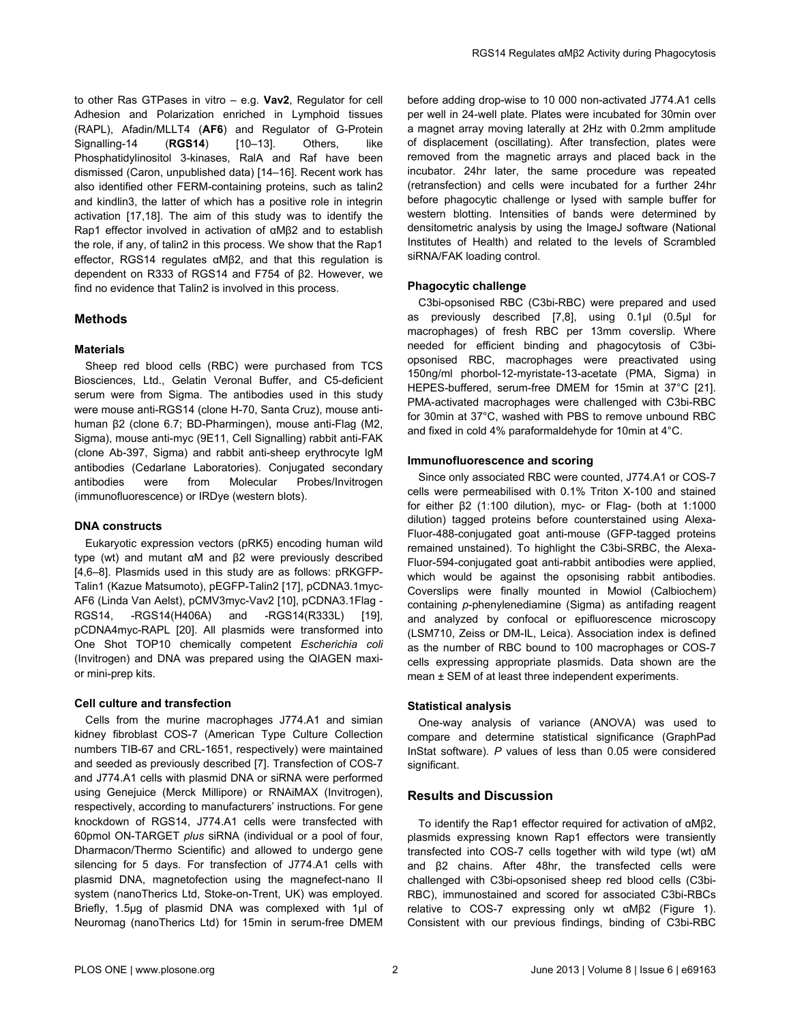to other Ras GTPases in vitro – e.g. **Vav2**, Regulator for cell Adhesion and Polarization enriched in Lymphoid tissues (RAPL), Afadin/MLLT4 (**AF6**) and Regulator of G-Protein Signalling-14 (**RGS14**) [\[10–13\]](#page-4-0). Others, like Phosphatidylinositol 3-kinases, RalA and Raf have been dismissed (Caron, unpublished data) [[14](#page-4-0)–[16](#page-4-0)]. Recent work has also identified other FERM-containing proteins, such as talin2 and kindlin3, the latter of which has a positive role in integrin activation [\[17,18\]](#page-4-0). The aim of this study was to identify the Rap1 effector involved in activation of αMβ2 and to establish the role, if any, of talin2 in this process. We show that the Rap1 effector, RGS14 regulates αMβ2, and that this regulation is dependent on R333 of RGS14 and F754 of β2. However, we find no evidence that Talin2 is involved in this process.

## **Methods**

#### **Materials**

Sheep red blood cells (RBC) were purchased from TCS Biosciences, Ltd., Gelatin Veronal Buffer, and C5-deficient serum were from Sigma. The antibodies used in this study were mouse anti-RGS14 (clone H-70, Santa Cruz), mouse antihuman β2 (clone 6.7; BD-Pharmingen), mouse anti-Flag (M2, Sigma), mouse anti-myc (9E11, Cell Signalling) rabbit anti-FAK (clone Ab-397, Sigma) and rabbit anti-sheep erythrocyte IgM antibodies (Cedarlane Laboratories). Conjugated secondary antibodies were from Molecular Probes/Invitrogen (immunofluorescence) or IRDye (western blots).

## **DNA constructs**

Eukaryotic expression vectors (pRK5) encoding human wild type (wt) and mutant αM and β2 were previously described [[4,6–8](#page-4-0)]. Plasmids used in this study are as follows: pRKGFP-Talin1 (Kazue Matsumoto), pEGFP-Talin2 [[17](#page-4-0)], pCDNA3.1myc-AF6 (Linda Van Aelst), pCMV3myc-Vav2 [\[10\]](#page-4-0), pCDNA3.1Flag - RGS14, -RGS14(H406A) and -RGS14(R333L) [\[19\]](#page-4-0), pCDNA4myc-RAPL [[20](#page-4-0)]. All plasmids were transformed into One Shot TOP10 chemically competent *Escherichia coli* (Invitrogen) and DNA was prepared using the QIAGEN maxior mini-prep kits.

## **Cell culture and transfection**

Cells from the murine macrophages J774.A1 and simian kidney fibroblast COS-7 (American Type Culture Collection numbers TIB-67 and CRL-1651, respectively) were maintained and seeded as previously described [\[7](#page-4-0)]. Transfection of COS-7 and J774.A1 cells with plasmid DNA or siRNA were performed using Genejuice (Merck Millipore) or RNAiMAX (Invitrogen), respectively, according to manufacturers' instructions. For gene knockdown of RGS14, J774.A1 cells were transfected with 60pmol ON-TARGET *plus* siRNA (individual or a pool of four, Dharmacon/Thermo Scientific) and allowed to undergo gene silencing for 5 days. For transfection of J774.A1 cells with plasmid DNA, magnetofection using the magnefect-nano II system (nanoTherics Ltd, Stoke-on-Trent, UK) was employed. Briefly, 1.5μg of plasmid DNA was complexed with 1μl of Neuromag (nanoTherics Ltd) for 15min in serum-free DMEM

before adding drop-wise to 10 000 non-activated J774.A1 cells per well in 24-well plate. Plates were incubated for 30min over a magnet array moving laterally at 2Hz with 0.2mm amplitude of displacement (oscillating). After transfection, plates were removed from the magnetic arrays and placed back in the incubator. 24hr later, the same procedure was repeated (retransfection) and cells were incubated for a further 24hr before phagocytic challenge or lysed with sample buffer for western blotting. Intensities of bands were determined by densitometric analysis by using the ImageJ software (National Institutes of Health) and related to the levels of Scrambled siRNA/FAK loading control.

## **Phagocytic challenge**

C3bi-opsonised RBC (C3bi-RBC) were prepared and used as previously described [\[7,8\]](#page-4-0), using 0.1μl (0.5μl for macrophages) of fresh RBC per 13mm coverslip. Where needed for efficient binding and phagocytosis of C3biopsonised RBC, macrophages were preactivated using 150ng/ml phorbol-12-myristate-13-acetate (PMA, Sigma) in HEPES-buffered, serum-free DMEM for 15min at 37°C [\[21\]](#page-4-0). PMA-activated macrophages were challenged with C3bi-RBC for 30min at 37°C, washed with PBS to remove unbound RBC and fixed in cold 4% paraformaldehyde for 10min at 4°C.

#### **Immunofluorescence and scoring**

Since only associated RBC were counted, J774.A1 or COS-7 cells were permeabilised with 0.1% Triton X-100 and stained for either β2 (1:100 dilution), myc- or Flag- (both at 1:1000 dilution) tagged proteins before counterstained using Alexa-Fluor-488-conjugated goat anti-mouse (GFP-tagged proteins remained unstained). To highlight the C3bi-SRBC, the Alexa-Fluor-594-conjugated goat anti-rabbit antibodies were applied, which would be against the opsonising rabbit antibodies. Coverslips were finally mounted in Mowiol (Calbiochem) containing *p*-phenylenediamine (Sigma) as antifading reagent and analyzed by confocal or epifluorescence microscopy (LSM710, Zeiss or DM-IL, Leica). Association index is defined as the number of RBC bound to 100 macrophages or COS-7 cells expressing appropriate plasmids. Data shown are the mean ± SEM of at least three independent experiments.

#### **Statistical analysis**

One-way analysis of variance (ANOVA) was used to compare and determine statistical significance (GraphPad InStat software). *P* values of less than 0.05 were considered significant.

## **Results and Discussion**

To identify the Rap1 effector required for activation of αMβ2, plasmids expressing known Rap1 effectors were transiently transfected into COS-7 cells together with wild type (wt) αM and β2 chains. After 48hr, the transfected cells were challenged with C3bi-opsonised sheep red blood cells (C3bi-RBC), immunostained and scored for associated C3bi-RBCs relative to COS-7 expressing only wt αMβ2 ([Figure 1\)](#page-2-0). Consistent with our previous findings, binding of C3bi-RBC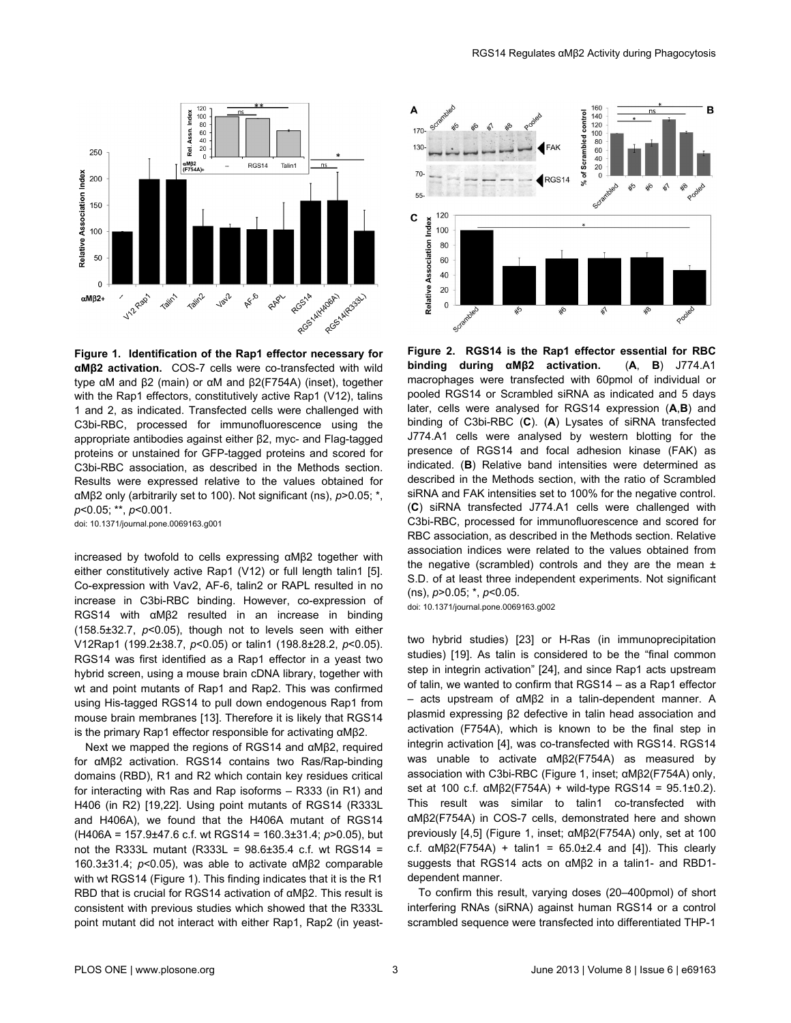<span id="page-2-0"></span>

**Figure 1. Identification of the Rap1 effector necessary for αMβ2 activation.** COS-7 cells were co-transfected with wild type αM and β2 (main) or αM and β2(F754A) (inset), together with the Rap1 effectors, constitutively active Rap1 (V12), talins 1 and 2, as indicated. Transfected cells were challenged with C3bi-RBC, processed for immunofluorescence using the appropriate antibodies against either β2, myc- and Flag-tagged proteins or unstained for GFP-tagged proteins and scored for C3bi-RBC association, as described in the Methods section. Results were expressed relative to the values obtained for αMβ2 only (arbitrarily set to 100). Not significant (ns), *p*>0.05; \*, *p*<0.05; \*\*, *p*<0.001.

doi: 10.1371/journal.pone.0069163.g001

increased by twofold to cells expressing αMβ2 together with either constitutively active Rap1 (V12) or full length talin1 [\[5\]](#page-4-0). Co-expression with Vav2, AF-6, talin2 or RAPL resulted in no increase in C3bi-RBC binding. However, co-expression of RGS14 with αMβ2 resulted in an increase in binding (158.5±32.7, *p*<0.05), though not to levels seen with either V12Rap1 (199.2±38.7, *p*<0.05) or talin1 (198.8±28.2, *p*<0.05). RGS14 was first identified as a Rap1 effector in a yeast two hybrid screen, using a mouse brain cDNA library, together with wt and point mutants of Rap1 and Rap2. This was confirmed using His-tagged RGS14 to pull down endogenous Rap1 from mouse brain membranes [[13](#page-4-0)]. Therefore it is likely that RGS14 is the primary Rap1 effector responsible for activating αMβ2.

Next we mapped the regions of RGS14 and αMβ2, required for αMβ2 activation. RGS14 contains two Ras/Rap-binding domains (RBD), R1 and R2 which contain key residues critical for interacting with Ras and Rap isoforms – R333 (in R1) and H406 (in R2) [[19](#page-4-0),[22\]](#page-4-0). Using point mutants of RGS14 (R333L and H406A), we found that the H406A mutant of RGS14 (H406A = 157.9±47.6 c.f. wt RGS14 = 160.3±31.4; *p*>0.05), but not the R333L mutant (R333L = 98.6±35.4 c.f. wt RGS14 = 160.3±31.4; *p*<0.05), was able to activate αMβ2 comparable with wt RGS14 (Figure 1). This finding indicates that it is the R1 RBD that is crucial for RGS14 activation of αMβ2. This result is consistent with previous studies which showed that the R333L point mutant did not interact with either Rap1, Rap2 (in yeast-



**Figure 2. RGS14 is the Rap1 effector essential for RBC binding during αMβ2 activation.** (**A**, **B**) J774.A1 macrophages were transfected with 60pmol of individual or pooled RGS14 or Scrambled siRNA as indicated and 5 days later, cells were analysed for RGS14 expression (**A**,**B**) and binding of C3bi-RBC (**C**). (**A**) Lysates of siRNA transfected J774.A1 cells were analysed by western blotting for the presence of RGS14 and focal adhesion kinase (FAK) as indicated. (**B**) Relative band intensities were determined as described in the Methods section, with the ratio of Scrambled siRNA and FAK intensities set to 100% for the negative control. (**C**) siRNA transfected J774.A1 cells were challenged with C3bi-RBC, processed for immunofluorescence and scored for RBC association, as described in the Methods section. Relative association indices were related to the values obtained from the negative (scrambled) controls and they are the mean  $\pm$ S.D. of at least three independent experiments. Not significant (ns), *p*>0.05; \*, *p*<0.05.

doi: 10.1371/journal.pone.0069163.g002

two hybrid studies) [[23](#page-4-0)] or H-Ras (in immunoprecipitation studies) [[19](#page-4-0)]. As talin is considered to be the "final common step in integrin activation" [\[24\]](#page-4-0), and since Rap1 acts upstream of talin, we wanted to confirm that RGS14 – as a Rap1 effector – acts upstream of αMβ2 in a talin-dependent manner. A plasmid expressing β2 defective in talin head association and activation (F754A), which is known to be the final step in integrin activation [[4](#page-4-0)], was co-transfected with RGS14. RGS14 was unable to activate αMβ2(F754A) as measured by association with C3bi-RBC (Figure 1, inset; αMβ2(F754A) only, set at 100 c.f. αMβ2(F754A) + wild-type RGS14 = 95.1±0.2). This result was similar to talin1 co-transfected with αMβ2(F754A) in COS-7 cells, demonstrated here and shown previously [\[4,5\]](#page-4-0) (Figure 1, inset; αMβ2(F754A) only, set at 100 c.f.  $\alpha$ M $\beta$ 2(F754A) + talin1 = 65.0 $\pm$ 2.4 and [\[4\]](#page-4-0)). This clearly suggests that RGS14 acts on αMβ2 in a talin1- and RBD1 dependent manner.

To confirm this result, varying doses (20–400pmol) of short interfering RNAs (siRNA) against human RGS14 or a control scrambled sequence were transfected into differentiated THP-1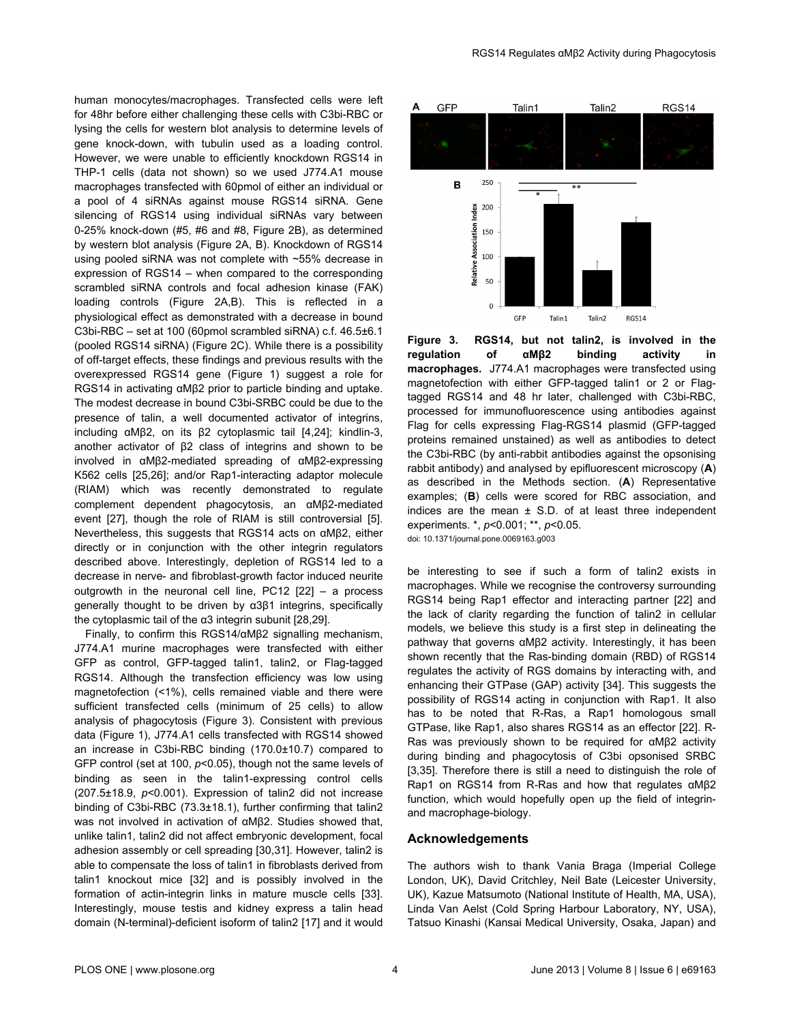human monocytes/macrophages. Transfected cells were left for 48hr before either challenging these cells with C3bi-RBC or lysing the cells for western blot analysis to determine levels of gene knock-down, with tubulin used as a loading control. However, we were unable to efficiently knockdown RGS14 in THP-1 cells (data not shown) so we used J774.A1 mouse macrophages transfected with 60pmol of either an individual or a pool of 4 siRNAs against mouse RGS14 siRNA. Gene silencing of RGS14 using individual siRNAs vary between 0-25% knock-down (#5, #6 and #8, [Figure 2B\)](#page-2-0), as determined by western blot analysis [\(Figure 2A, B\)](#page-2-0). Knockdown of RGS14 using pooled siRNA was not complete with ~55% decrease in expression of RGS14 – when compared to the corresponding scrambled siRNA controls and focal adhesion kinase (FAK) loading controls ([Figure 2A,B\)](#page-2-0). This is reflected in a physiological effect as demonstrated with a decrease in bound C3bi-RBC – set at 100 (60pmol scrambled siRNA) c.f. 46.5±6.1 (pooled RGS14 siRNA) ([Figure 2C\)](#page-2-0). While there is a possibility of off-target effects, these findings and previous results with the overexpressed RGS14 gene [\(Figure 1\)](#page-2-0) suggest a role for RGS14 in activating αMβ2 prior to particle binding and uptake. The modest decrease in bound C3bi-SRBC could be due to the presence of talin, a well documented activator of integrins, including αMβ2, on its β2 cytoplasmic tail [\[4,24\]](#page-4-0); kindlin-3, another activator of β2 class of integrins and shown to be involved in αMβ2-mediated spreading of αMβ2-expressing K562 cells [[25](#page-4-0),[26](#page-4-0)]; and/or Rap1-interacting adaptor molecule (RIAM) which was recently demonstrated to regulate complement dependent phagocytosis, an αMβ2-mediated event [\[27](#page-4-0)], though the role of RIAM is still controversial [\[5\]](#page-4-0). Nevertheless, this suggests that RGS14 acts on αMβ2, either directly or in conjunction with the other integrin regulators described above. Interestingly, depletion of RGS14 led to a decrease in nerve- and fibroblast-growth factor induced neurite outgrowth in the neuronal cell line, PC12 [\[22\]](#page-4-0) – a process generally thought to be driven by α3β1 integrins, specifically the cytoplasmic tail of the α3 integrin subunit [[28](#page-4-0),[29](#page-4-0)].

Finally, to confirm this RGS14/αMβ2 signalling mechanism, J774.A1 murine macrophages were transfected with either GFP as control, GFP-tagged talin1, talin2, or Flag-tagged RGS14. Although the transfection efficiency was low using magnetofection (<1%), cells remained viable and there were sufficient transfected cells (minimum of 25 cells) to allow analysis of phagocytosis (Figure 3). Consistent with previous data ([Figure 1\)](#page-2-0), J774.A1 cells transfected with RGS14 showed an increase in C3bi-RBC binding (170.0±10.7) compared to GFP control (set at 100, *p*<0.05), though not the same levels of binding as seen in the talin1-expressing control cells (207.5±18.9, *p*<0.001). Expression of talin2 did not increase binding of C3bi-RBC (73.3±18.1), further confirming that talin2 was not involved in activation of αMβ2. Studies showed that, unlike talin1, talin2 did not affect embryonic development, focal adhesion assembly or cell spreading [[30,31\]](#page-4-0). However, talin2 is able to compensate the loss of talin1 in fibroblasts derived from talin1 knockout mice [[32\]](#page-4-0) and is possibly involved in the formation of actin-integrin links in mature muscle cells [\[33\]](#page-4-0). Interestingly, mouse testis and kidney express a talin head domain (N-terminal)-deficient isoform of talin2 [[17](#page-4-0)] and it would



**Figure 3. RGS14, but not talin2, is involved in the regulation** of αMβ2 binding activity **macrophages.** J774.A1 macrophages were transfected using magnetofection with either GFP-tagged talin1 or 2 or Flagtagged RGS14 and 48 hr later, challenged with C3bi-RBC, processed for immunofluorescence using antibodies against Flag for cells expressing Flag-RGS14 plasmid (GFP-tagged proteins remained unstained) as well as antibodies to detect the C3bi-RBC (by anti-rabbit antibodies against the opsonising rabbit antibody) and analysed by epifluorescent microscopy (**A**) as described in the Methods section. (**A**) Representative examples; (**B**) cells were scored for RBC association, and indices are the mean  $\pm$  S.D. of at least three independent experiments. \*, *p*<0.001; \*\*, *p*<0.05.

doi: 10.1371/journal.pone.0069163.g003

be interesting to see if such a form of talin2 exists in macrophages. While we recognise the controversy surrounding RGS14 being Rap1 effector and interacting partner [\[22\]](#page-4-0) and the lack of clarity regarding the function of talin2 in cellular models, we believe this study is a first step in delineating the pathway that governs αMβ2 activity. Interestingly, it has been shown recently that the Ras-binding domain (RBD) of RGS14 regulates the activity of RGS domains by interacting with, and enhancing their GTPase (GAP) activity [\[34\]](#page-4-0). This suggests the possibility of RGS14 acting in conjunction with Rap1. It also has to be noted that R-Ras, a Rap1 homologous small GTPase, like Rap1, also shares RGS14 as an effector [\[22\]](#page-4-0). R-Ras was previously shown to be required for αMβ2 activity during binding and phagocytosis of C3bi opsonised SRBC [[3,35](#page-4-0)]. Therefore there is still a need to distinguish the role of Rap1 on RGS14 from R-Ras and how that regulates αMβ2 function, which would hopefully open up the field of integrinand macrophage-biology.

#### **Acknowledgements**

The authors wish to thank Vania Braga (Imperial College London, UK), David Critchley, Neil Bate (Leicester University, UK), Kazue Matsumoto (National Institute of Health, MA, USA), Linda Van Aelst (Cold Spring Harbour Laboratory, NY, USA), Tatsuo Kinashi (Kansai Medical University, Osaka, Japan) and